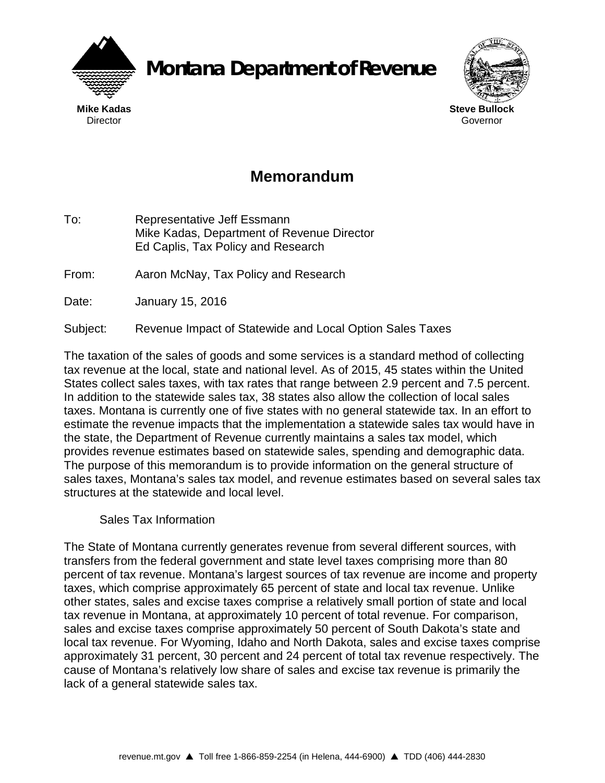

**Montana Department of Revenue**



## **Memorandum**

To: Representative Jeff Essmann Mike Kadas, Department of Revenue Director Ed Caplis, Tax Policy and Research

From: Aaron McNay, Tax Policy and Research

Date: January 15, 2016

Subject: Revenue Impact of Statewide and Local Option Sales Taxes

The taxation of the sales of goods and some services is a standard method of collecting tax revenue at the local, state and national level. As of 2015, 45 states within the United States collect sales taxes, with tax rates that range between 2.9 percent and 7.5 percent. In addition to the statewide sales tax, 38 states also allow the collection of local sales taxes. Montana is currently one of five states with no general statewide tax. In an effort to estimate the revenue impacts that the implementation a statewide sales tax would have in the state, the Department of Revenue currently maintains a sales tax model, which provides revenue estimates based on statewide sales, spending and demographic data. The purpose of this memorandum is to provide information on the general structure of sales taxes, Montana's sales tax model, and revenue estimates based on several sales tax structures at the statewide and local level.

## Sales Tax Information

The State of Montana currently generates revenue from several different sources, with transfers from the federal government and state level taxes comprising more than 80 percent of tax revenue. Montana's largest sources of tax revenue are income and property taxes, which comprise approximately 65 percent of state and local tax revenue. Unlike other states, sales and excise taxes comprise a relatively small portion of state and local tax revenue in Montana, at approximately 10 percent of total revenue. For comparison, sales and excise taxes comprise approximately 50 percent of South Dakota's state and local tax revenue. For Wyoming, Idaho and North Dakota, sales and excise taxes comprise approximately 31 percent, 30 percent and 24 percent of total tax revenue respectively. The cause of Montana's relatively low share of sales and excise tax revenue is primarily the lack of a general statewide sales tax.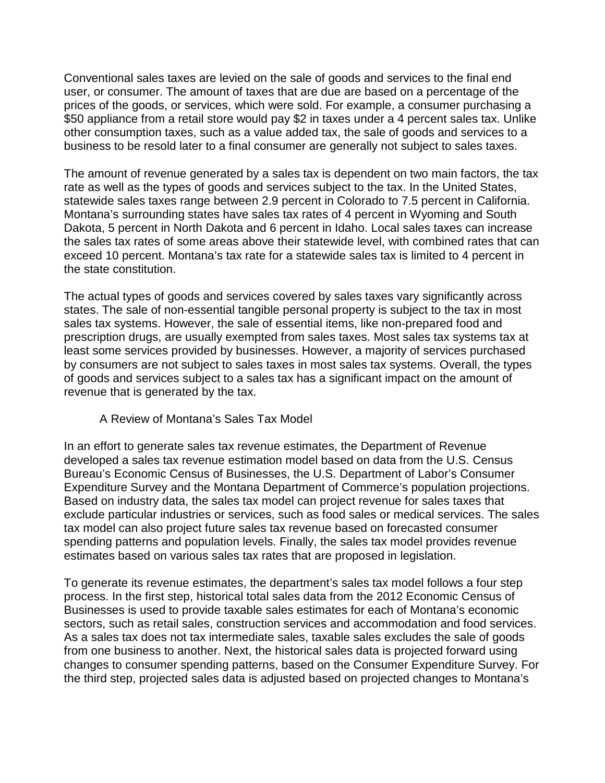Conventional sales taxes are levied on the sale of goods and services to the final end user, or consumer. The amount of taxes that are due are based on a percentage of the prices of the goods, or services, which were sold. For example, a consumer purchasing a \$50 appliance from a retail store would pay \$2 in taxes under a 4 percent sales tax. Unlike other consumption taxes, such as a value added tax, the sale of goods and services to a business to be resold later to a final consumer are generally not subject to sales taxes.

The amount of revenue generated by a sales tax is dependent on two main factors, the tax rate as well as the types of goods and services subject to the tax. In the United States, statewide sales taxes range between 2.9 percent in Colorado to 7.5 percent in California. Montana's surrounding states have sales tax rates of 4 percent in Wyoming and South Dakota, 5 percent in North Dakota and 6 percent in Idaho. Local sales taxes can increase the sales tax rates of some areas above their statewide level, with combined rates that can exceed 10 percent. Montana's tax rate for a statewide sales tax is limited to 4 percent in the state constitution.

The actual types of goods and services covered by sales taxes vary significantly across states. The sale of non-essential tangible personal property is subject to the tax in most sales tax systems. However, the sale of essential items, like non-prepared food and prescription drugs, are usually exempted from sales taxes. Most sales tax systems tax at least some services provided by businesses. However, a majority of services purchased by consumers are not subject to sales taxes in most sales tax systems. Overall, the types of goods and services subject to a sales tax has a significant impact on the amount of revenue that is generated by the tax.

## A Review of Montana's Sales Tax Model

In an effort to generate sales tax revenue estimates, the Department of Revenue developed a sales tax revenue estimation model based on data from the U.S. Census Bureau's Economic Census of Businesses, the U.S. Department of Labor's Consumer Expenditure Survey and the Montana Department of Commerce's population projections. Based on industry data, the sales tax model can project revenue for sales taxes that exclude particular industries or services, such as food sales or medical services. The sales tax model can also project future sales tax revenue based on forecasted consumer spending patterns and population levels. Finally, the sales tax model provides revenue estimates based on various sales tax rates that are proposed in legislation.

To generate its revenue estimates, the department's sales tax model follows a four step process. In the first step, historical total sales data from the 2012 Economic Census of Businesses is used to provide taxable sales estimates for each of Montana's economic sectors, such as retail sales, construction services and accommodation and food services. As a sales tax does not tax intermediate sales, taxable sales excludes the sale of goods from one business to another. Next, the historical sales data is projected forward using changes to consumer spending patterns, based on the Consumer Expenditure Survey. For the third step, projected sales data is adjusted based on projected changes to Montana's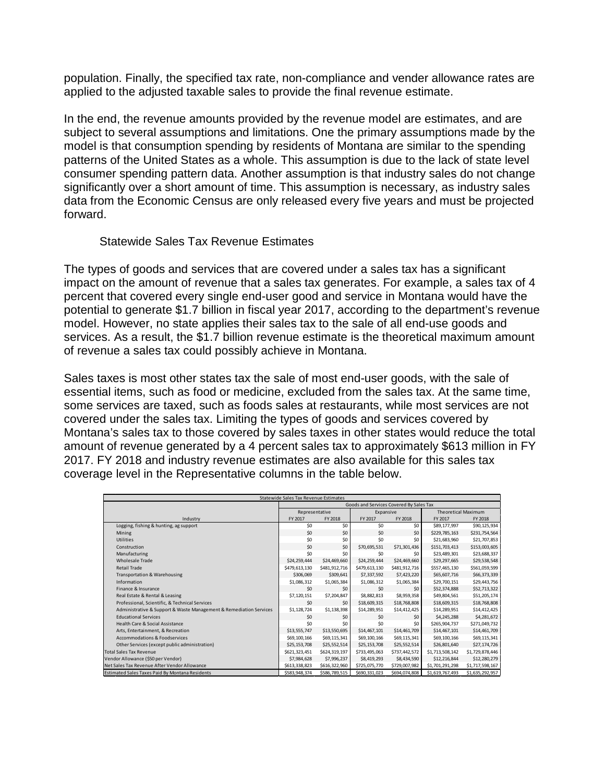population. Finally, the specified tax rate, non-compliance and vender allowance rates are applied to the adjusted taxable sales to provide the final revenue estimate.

In the end, the revenue amounts provided by the revenue model are estimates, and are subject to several assumptions and limitations. One the primary assumptions made by the model is that consumption spending by residents of Montana are similar to the spending patterns of the United States as a whole. This assumption is due to the lack of state level consumer spending pattern data. Another assumption is that industry sales do not change significantly over a short amount of time. This assumption is necessary, as industry sales data from the Economic Census are only released every five years and must be projected forward.

## Statewide Sales Tax Revenue Estimates

The types of goods and services that are covered under a sales tax has a significant impact on the amount of revenue that a sales tax generates. For example, a sales tax of 4 percent that covered every single end-user good and service in Montana would have the potential to generate \$1.7 billion in fiscal year 2017, according to the department's revenue model. However, no state applies their sales tax to the sale of all end-use goods and services. As a result, the \$1.7 billion revenue estimate is the theoretical maximum amount of revenue a sales tax could possibly achieve in Montana.

Sales taxes is most other states tax the sale of most end-user goods, with the sale of essential items, such as food or medicine, excluded from the sales tax. At the same time, some services are taxed, such as foods sales at restaurants, while most services are not covered under the sales tax. Limiting the types of goods and services covered by Montana's sales tax to those covered by sales taxes in other states would reduce the total amount of revenue generated by a 4 percent sales tax to approximately \$613 million in FY 2017. FY 2018 and industry revenue estimates are also available for this sales tax coverage level in the Representative columns in the table below.

| Statewide Sales Tax Revenue Estimates                              |                                         |               |               |               |                            |                 |  |
|--------------------------------------------------------------------|-----------------------------------------|---------------|---------------|---------------|----------------------------|-----------------|--|
|                                                                    | Goods and Services Covered By Sales Tax |               |               |               |                            |                 |  |
|                                                                    | Representative                          |               | Expansive     |               | <b>Theoretical Maximum</b> |                 |  |
| Industry                                                           | FY 2017                                 | FY 2018       | FY 2017       | FY 2018       | FY 2017                    | FY 2018         |  |
| Logging, fishing & hunting, ag support                             | SO <sub>2</sub>                         | \$0           | \$0           | \$0           | \$89,177,997               | \$90,125,934    |  |
| Mining                                                             | \$0                                     | \$0           | \$0           | \$0           | \$229,785,163              | \$231,754,564   |  |
| <b>Utilities</b>                                                   | SO <sub>2</sub>                         | \$0           | \$0           | \$0           | \$21,683,960               | \$21,707,853    |  |
| Construction                                                       | \$0                                     | \$0           | \$70,695,531  | \$71,301,436  | \$151,703,413              | \$153,003,605   |  |
| Manufacturing                                                      | \$0                                     | \$0           | \$0           | \$0           | \$23,489,301               | \$23,688,337    |  |
| <b>Wholesale Trade</b>                                             | \$24,259,444                            | \$24,469,660  | \$24,259,444  | \$24,469,660  | \$29,297.665               | \$29,538,548    |  |
| <b>Retail Trade</b>                                                | \$479,613,130                           | \$481,912,716 | \$479,613,130 | \$481,912,716 | \$557,465,130              | \$561,059,599   |  |
| Transportation & Warehousing                                       | \$306,069                               | \$309,641     | \$7,337,592   | \$7,423,220   | \$65,607,716               | \$66,373,339    |  |
| Information                                                        | \$1,086,312                             | \$1,065,384   | \$1,086,312   | \$1,065,384   | \$29,700,151               | \$29,443,756    |  |
| Finance & Insurance                                                | \$0                                     | \$0           | \$0           | \$0           | \$52,374,888               | \$52,713,322    |  |
| Real Estate & Rental & Leasing                                     | \$7,120,151                             | \$7,204,847   | \$8,882,813   | \$8,959,358   | \$49,804,561               | \$51,205,174    |  |
| Professional, Scientific, & Technical Services                     | \$0                                     | \$0           | \$18,609,315  | \$18,768,808  | \$18,609,315               | \$18,768,808    |  |
| Administrative & Support & Waste Management & Remediation Services | \$1,128,724                             | \$1,138,398   | \$14,289,951  | \$14,412,425  | \$14,289,951               | \$14,412,425    |  |
| <b>Educational Services</b>                                        | \$0                                     | \$0           | \$0           | \$0           | \$4.245.288                | \$4,281,672     |  |
| Health Care & Social Assistance                                    | \$0                                     | \$0           | \$0           | \$0           | \$265,904,737              | \$271,049,732   |  |
| Arts, Entertainment, & Recreation                                  | \$13,555,747                            | \$13,550,695  | \$14,467,101  | \$14,461,709  | \$14,467,101               | \$14,461,709    |  |
| Accommodations & Foodservices                                      | \$69,100,166                            | \$69,115,341  | \$69,100,166  | \$69,115,341  | \$69,100,166               | \$69,115,341    |  |
| Other Services (except public administration)                      | \$25,153,708                            | \$25,552,514  | \$25,153,708  | \$25,552,514  | \$26,801,640               | \$27,174,726    |  |
| <b>Total Sales Tax Revenue</b>                                     | \$621,323,451                           | \$624,319,197 | \$733,495,063 | \$737,442,572 | \$1,713,508,142            | \$1,729,878,446 |  |
| Vendor Allowance (\$50 per Vendor)                                 | \$7,984,628                             | \$7,996,237   | \$8,419,293   | \$8,434,590   | \$12,216,844               | \$12,280,279    |  |
| Net Sales Tax Revenue After Vendor Allowance                       | \$613,338,823                           | \$616,322,960 | \$725,075,770 | \$729,007,982 | \$1,701,291,298            | \$1,717,598,167 |  |
| <b>Estimated Sales Taxes Paid By Montana Residents</b>             | \$583,948,374                           | \$586,789,515 | \$690,331,023 | \$694,074,808 | \$1,619,767,493            | \$1,635,292,957 |  |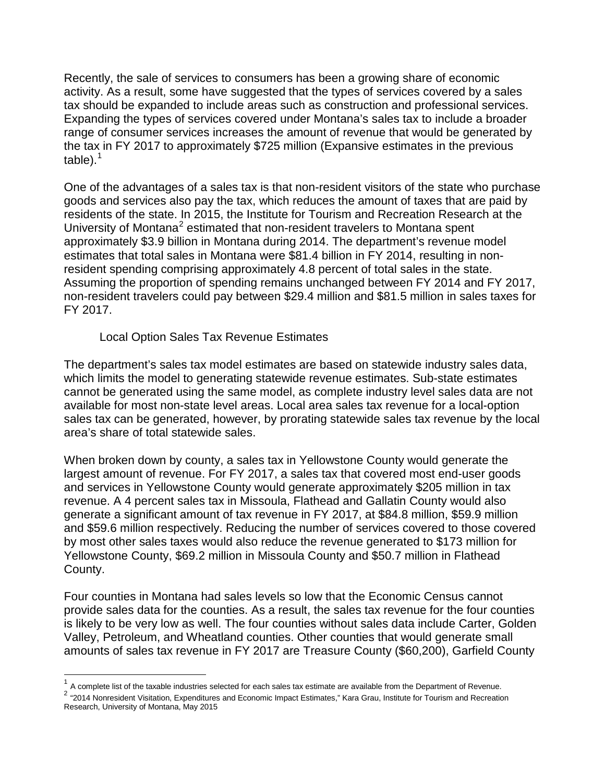Recently, the sale of services to consumers has been a growing share of economic activity. As a result, some have suggested that the types of services covered by a sales tax should be expanded to include areas such as construction and professional services. Expanding the types of services covered under Montana's sales tax to include a broader range of consumer services increases the amount of revenue that would be generated by the tax in FY 2017 to approximately \$725 million (Expansive estimates in the previous table). $<sup>1</sup>$  $<sup>1</sup>$  $<sup>1</sup>$ </sup>

One of the advantages of a sales tax is that non-resident visitors of the state who purchase goods and services also pay the tax, which reduces the amount of taxes that are paid by residents of the state. In 2015, the Institute for Tourism and Recreation Research at the University of Montana<sup>[2](#page-3-1)</sup> estimated that non-resident travelers to Montana spent approximately \$3.9 billion in Montana during 2014. The department's revenue model estimates that total sales in Montana were \$81.4 billion in FY 2014, resulting in nonresident spending comprising approximately 4.8 percent of total sales in the state. Assuming the proportion of spending remains unchanged between FY 2014 and FY 2017, non-resident travelers could pay between \$29.4 million and \$81.5 million in sales taxes for FY 2017.

Local Option Sales Tax Revenue Estimates

The department's sales tax model estimates are based on statewide industry sales data, which limits the model to generating statewide revenue estimates. Sub-state estimates cannot be generated using the same model, as complete industry level sales data are not available for most non-state level areas. Local area sales tax revenue for a local-option sales tax can be generated, however, by prorating statewide sales tax revenue by the local area's share of total statewide sales.

When broken down by county, a sales tax in Yellowstone County would generate the largest amount of revenue. For FY 2017, a sales tax that covered most end-user goods and services in Yellowstone County would generate approximately \$205 million in tax revenue. A 4 percent sales tax in Missoula, Flathead and Gallatin County would also generate a significant amount of tax revenue in FY 2017, at \$84.8 million, \$59.9 million and \$59.6 million respectively. Reducing the number of services covered to those covered by most other sales taxes would also reduce the revenue generated to \$173 million for Yellowstone County, \$69.2 million in Missoula County and \$50.7 million in Flathead County.

Four counties in Montana had sales levels so low that the Economic Census cannot provide sales data for the counties. As a result, the sales tax revenue for the four counties is likely to be very low as well. The four counties without sales data include Carter, Golden Valley, Petroleum, and Wheatland counties. Other counties that would generate small amounts of sales tax revenue in FY 2017 are Treasure County (\$60,200), Garfield County

<span id="page-3-0"></span> $1$  A complete list of the taxable industries selected for each sales tax estimate are available from the Department of Revenue.

<span id="page-3-1"></span><sup>2 &</sup>quot;2014 Nonresident Visitation, Expenditures and Economic Impact Estimates," Kara Grau, Institute for Tourism and Recreation Research, University of Montana, May 2015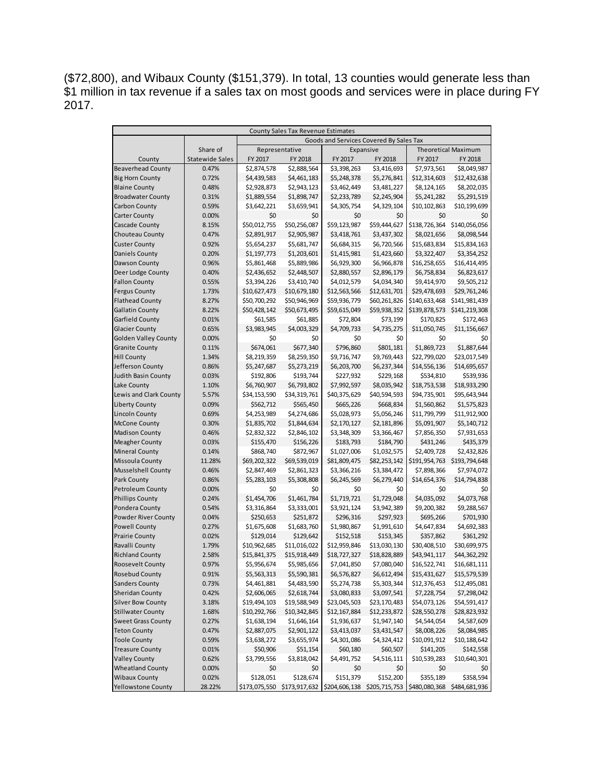(\$72,800), and Wibaux County (\$151,379). In total, 13 counties would generate less than \$1 million in tax revenue if a sales tax on most goods and services were in place during FY 2017.

| County Sales Tax Revenue Estimates |                        |                                         |                                                                                     |              |                            |                    |                             |
|------------------------------------|------------------------|-----------------------------------------|-------------------------------------------------------------------------------------|--------------|----------------------------|--------------------|-----------------------------|
|                                    |                        | Goods and Services Covered By Sales Tax |                                                                                     |              |                            |                    |                             |
|                                    | Share of               | Representative<br>Expansive             |                                                                                     |              | <b>Theoretical Maximum</b> |                    |                             |
| County                             | <b>Statewide Sales</b> | FY 2017<br>FY 2018                      |                                                                                     | FY 2017      | FY 2018                    | FY 2017<br>FY 2018 |                             |
| <b>Beaverhead County</b>           | 0.47%                  | \$2,874,578                             | \$2,888,564                                                                         | \$3,398,263  | \$3,416,693                | \$7,973,561        | \$8,049,987                 |
| <b>Big Horn County</b>             | 0.72%                  | \$4,439,583                             | \$4,461,183                                                                         | \$5,248,378  | \$5,276,841                | \$12,314,603       | \$12,432,638                |
| <b>Blaine County</b>               | 0.48%                  | \$2,928,873                             | \$2,943,123                                                                         | \$3,462,449  | \$3,481,227                | \$8,124,165        | \$8,202,035                 |
| <b>Broadwater County</b>           | 0.31%                  | \$1,889,554                             | \$1,898,747                                                                         | \$2,233,789  | \$2,245,904                | \$5,241,282        | \$5,291,519                 |
| Carbon County                      | 0.59%                  | \$3,642,221                             | \$3,659,941                                                                         | \$4,305,754  | \$4,329,104                | \$10,102,863       | \$10,199,699                |
| <b>Carter County</b>               | 0.00%                  | \$0                                     | \$0                                                                                 | \$0          | \$0                        | \$0                | \$0                         |
| Cascade County                     | 8.15%                  | \$50,012,755                            | \$50,256,087                                                                        | \$59,123,987 | \$59,444,627               | \$138,726,364      | \$140,056,056               |
| Chouteau County                    | 0.47%                  | \$2,891,917                             | \$2,905,987                                                                         | \$3,418,761  | \$3,437,302                | \$8,021,656        | \$8,098,544                 |
| <b>Custer County</b>               | 0.92%                  | \$5,654,237                             | \$5,681,747                                                                         | \$6,684,315  | \$6,720,566                | \$15,683,834       | \$15,834,163                |
| Daniels County                     | 0.20%                  | \$1,197,773                             | \$1,203,601                                                                         | \$1,415,981  | \$1,423,660                | \$3,322,407        | \$3,354,252                 |
| Dawson County                      | 0.96%                  | \$5,861,468                             | \$5,889,986                                                                         | \$6,929,300  | \$6,966,878                | \$16,258,655       | \$16,414,495                |
| Deer Lodge County                  | 0.40%                  | \$2,436,652                             | \$2,448,507                                                                         | \$2,880,557  | \$2,896,179                | \$6,758,834        | \$6,823,617                 |
| <b>Fallon County</b>               | 0.55%                  | \$3,394,226                             | \$3,410,740                                                                         | \$4,012,579  | \$4,034,340                | \$9,414,970        | \$9,505,212                 |
| <b>Fergus County</b>               | 1.73%                  | \$10,627,473                            | \$10,679,180                                                                        | \$12,563,566 | \$12,631,701               | \$29,478,693       | \$29,761,246                |
| <b>Flathead County</b>             | 8.27%                  | \$50,700,292                            | \$50,946,969                                                                        | \$59,936,779 | \$60,261,826               | \$140,633,468      | \$141,981,439               |
| <b>Gallatin County</b>             | 8.22%                  | \$50,428,142                            | \$50,673,495                                                                        | \$59,615,049 | \$59,938,352               | \$139,878,573      | \$141,219,308               |
| Garfield County                    | 0.01%                  | \$61,585                                | \$61,885                                                                            | \$72,804     | \$73,199                   | \$170,825          | \$172,463                   |
| <b>Glacier County</b>              | 0.65%                  | \$3,983,945                             | \$4,003,329                                                                         | \$4,709,733  | \$4,735,275                | \$11,050,745       | \$11,156,667                |
| <b>Golden Valley County</b>        | 0.00%                  | \$0                                     | \$0                                                                                 | \$0          | \$0                        | \$0                | \$0                         |
| <b>Granite County</b>              | 0.11%                  | \$674,061                               | \$677,340                                                                           | \$796,860    | \$801,181                  | \$1,869,723        | \$1,887,644                 |
| <b>Hill County</b>                 | 1.34%                  | \$8,219,359                             | \$8,259,350                                                                         | \$9,716,747  | \$9,769,443                | \$22,799,020       | \$23,017,549                |
| Jefferson County                   | 0.86%                  | \$5,247,687                             | \$5,273,219                                                                         | \$6,203,700  | \$6,237,344                | \$14,556,136       | \$14,695,657                |
| <b>Judith Basin County</b>         | 0.03%                  | \$192,806                               | \$193,744                                                                           | \$227,932    | \$229,168                  | \$534,810          | \$539,936                   |
| Lake County                        | 1.10%                  | \$6,760,907                             | \$6,793,802                                                                         | \$7,992,597  | \$8,035,942                | \$18,753,538       | \$18,933,290                |
| Lewis and Clark County             | 5.57%                  | \$34,153,590                            | \$34,319,761                                                                        | \$40,375,629 | \$40,594,593               | \$94,735,901       | \$95,643,944                |
| <b>Liberty County</b>              | 0.09%                  | \$562,712                               | \$565,450                                                                           | \$665,226    | \$668,834                  | \$1,560,862        | \$1,575,823                 |
| <b>Lincoln County</b>              | 0.69%                  | \$4,253,989                             | \$4,274,686                                                                         | \$5,028,973  | \$5,056,246                | \$11,799,799       | \$11,912,900                |
| McCone County                      | 0.30%                  | \$1,835,702                             | \$1,844,634                                                                         | \$2,170,127  | \$2,181,896                | \$5,091,907        | \$5,140,712                 |
| <b>Madison County</b>              | 0.46%                  | \$2,832,322                             | \$2,846,102                                                                         | \$3,348,309  | \$3,366,467                | \$7,856,350        | \$7,931,653                 |
| <b>Meagher County</b>              | 0.03%                  | \$155,470                               | \$156,226                                                                           | \$183,793    | \$184,790                  | \$431,246          | \$435,379                   |
| <b>Mineral County</b>              | 0.14%                  | \$868,740                               | \$872,967                                                                           | \$1,027,006  | \$1,032,575                | \$2,409,728        | \$2,432,826                 |
| Missoula County                    | 11.28%                 | \$69,202,322                            | \$69,539,019                                                                        | \$81,809,475 | \$82,253,142               |                    | \$191,954,763 \$193,794,648 |
| <b>Musselshell County</b>          | 0.46%                  | \$2,847,469                             | \$2,861,323                                                                         | \$3,366,216  | \$3,384,472                | \$7,898,366        | \$7,974,072                 |
| Park County                        | 0.86%                  | \$5,283,103                             | \$5,308,808                                                                         | \$6,245,569  | \$6,279,440                | \$14,654,376       | \$14,794,838                |
| Petroleum County                   | 0.00%                  | \$0                                     | \$0                                                                                 | \$0          | \$0                        | \$0                | \$0                         |
| <b>Phillips County</b>             | 0.24%                  | \$1,454,706                             | \$1,461,784                                                                         | \$1,719,721  | \$1,729,048                | \$4,035,092        | \$4,073,768                 |
| Pondera County                     | 0.54%                  | \$3,316,864                             | \$3,333,001                                                                         | \$3,921,124  | \$3,942,389                | \$9,200,382        | \$9,288,567                 |
| Powder River County                | 0.04%                  | \$250,653                               | \$251,872                                                                           | \$296,316    | \$297,923                  | \$695,266          | \$701,930                   |
| <b>Powell County</b>               | 0.27%                  | \$1,675,608                             | \$1,683,760                                                                         | \$1,980,867  | \$1,991,610                | \$4,647,834        | \$4,692,383                 |
| <b>Prairie County</b>              | 0.02%                  | \$129,014                               | \$129,642                                                                           | \$152,518    | \$153,345                  | \$357,862          | \$361,292                   |
| Ravalli County                     | 1.79%                  | \$10,962,685                            | \$11,016,022                                                                        | \$12,959,846 | \$13,030,130               | \$30,408,510       | \$30,699,975                |
| <b>Richland County</b>             | 2.58%                  | \$15,841,375                            | \$15,918,449                                                                        | \$18,727,327 | \$18,828,889               | \$43,941,117       | \$44,362,292                |
| Roosevelt County                   | 0.97%                  | \$5,956,674                             | \$5,985,656                                                                         | \$7,041,850  | \$7,080,040                | \$16,522,741       | \$16,681,111                |
| Rosebud County                     | 0.91%                  | \$5,563,313                             | \$5,590,381                                                                         | \$6,576,827  | \$6,612,494                | \$15,431,627       | \$15,579,539                |
| <b>Sanders County</b>              | 0.73%                  | \$4,461,881                             | \$4,483,590                                                                         | \$5,274,738  | \$5,303,344                | \$12,376,453       | \$12,495,081                |
| Sheridan County                    | 0.42%                  | \$2,606,065                             | \$2,618,744                                                                         | \$3,080,833  | \$3,097,541                | \$7,228,754        | \$7,298,042                 |
| <b>Silver Bow County</b>           | 3.18%                  | \$19,494,103                            | \$19,588,949                                                                        | \$23,045,503 | \$23,170,483               | \$54,073,126       | \$54,591,417                |
| <b>Stillwater County</b>           | 1.68%                  | \$10,292,766                            | \$10,342,845                                                                        | \$12,167,884 | \$12,233,872               | \$28,550,278       | \$28,823,932                |
| <b>Sweet Grass County</b>          | 0.27%                  | \$1,638,194                             | \$1,646,164                                                                         | \$1,936,637  | \$1,947,140                | \$4,544,054        | \$4,587,609                 |
| <b>Teton County</b>                | 0.47%                  | \$2,887,075                             | \$2,901,122                                                                         | \$3,413,037  | \$3,431,547                | \$8,008,226        | \$8,084,985                 |
| <b>Toole County</b>                | 0.59%                  | \$3,638,272                             | \$3,655,974                                                                         | \$4,301,086  | \$4,324,412                | \$10,091,912       | \$10,188,642                |
| <b>Treasure County</b>             | 0.01%                  | \$50,906                                | \$51,154                                                                            | \$60,180     | \$60,507                   | \$141,205          | \$142,558                   |
| <b>Valley County</b>               | 0.62%                  | \$3,799,556                             | \$3,818,042                                                                         | \$4,491,752  | \$4,516,111                | \$10,539,283       | \$10,640,301                |
| <b>Wheatland County</b>            | 0.00%                  | \$0                                     | \$0                                                                                 | \$0          | \$0                        | \$0                | \$0                         |
| <b>Wibaux County</b>               | 0.02%                  | \$128,051                               | \$128,674                                                                           | \$151,379    | \$152,200                  | \$355,189          | \$358,594                   |
| <b>Yellowstone County</b>          | 28.22%                 |                                         | \$173,075,550 \$173,917,632 \$204,606,138 \$205,715,753 \$480,080,368 \$484,681,936 |              |                            |                    |                             |